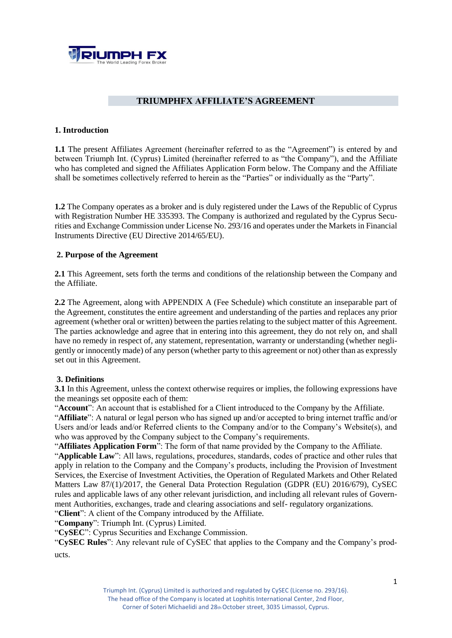

## **TRIUMPHFX AFFILIATE'S AGREEMENT**

## **1. Introduction**

**1.1** The present Affiliates Agreement (hereinafter referred to as the "Agreement") is entered by and between Triumph Int. (Cyprus) Limited (hereinafter referred to as "the Company"), and the Affiliate who has completed and signed the Affiliates Application Form below. The Company and the Affiliate shall be sometimes collectively referred to herein as the "Parties" or individually as the "Party".

**1.2** The Company operates as a broker and is duly registered under the Laws of the Republic of Cyprus with Registration Number HE 335393. The Company is authorized and regulated by the Cyprus Securities and Exchange Commission under License No. 293/16 and operates under the Markets in Financial Instruments Directive (EU Directive 2014/65/EU).

## **2. Purpose of the Agreement**

**2.1** This Agreement, sets forth the terms and conditions of the relationship between the Company and the Affiliate.

**2.2** The Agreement, along with APPENDIX A (Fee Schedule) which constitute an inseparable part of the Agreement, constitutes the entire agreement and understanding of the parties and replaces any prior agreement (whether oral or written) between the parties relating to the subject matter of this Agreement. The parties acknowledge and agree that in entering into this agreement, they do not rely on, and shall have no remedy in respect of, any statement, representation, warranty or understanding (whether negligently or innocently made) of any person (whether party to this agreement or not) other than as expressly set out in this Agreement.

## **3. Definitions**

**3.1** In this Agreement, unless the context otherwise requires or implies, the following expressions have the meanings set opposite each of them:

"**Account**": An account that is established for a Client introduced to the Company by the Affiliate.

"**Affiliate**": A natural or legal person who has signed up and/or accepted to bring internet traffic and/or Users and/or leads and/or Referred clients to the Company and/or to the Company's Website(s), and who was approved by the Company subject to the Company's requirements.

"**Affiliates Application Form**": The form of that name provided by the Company to the Affiliate.

"**Applicable Law**": All laws, regulations, procedures, standards, codes of practice and other rules that apply in relation to the Company and the Company's products, including the Provision of Investment Services, the Exercise of Investment Activities, the Operation of Regulated Markets and Other Related Matters Law 87/(1)/2017, the General Data Protection Regulation (GDPR (EU) 2016/679), CySEC rules and applicable laws of any other relevant jurisdiction, and including all relevant rules of Government Authorities, exchanges, trade and clearing associations and self- regulatory organizations.

"**Client**": A client of the Company introduced by the Affiliate.

"**Company**": Triumph Int. (Cyprus) Limited.

"**CySEC**": Cyprus Securities and Exchange Commission.

"**CySEC Rules**": Any relevant rule of CySEC that applies to the Company and the Company's products.

The head office of the Company is located at Lophitis International Center, 2nd Floor, Corner of Soteri Michaelidi and 28th October street, 3035 Limassol, Cyprus.

Triumph Int. (Cyprus) Limited is authorized and regulated by CySEC (License no. 293/16).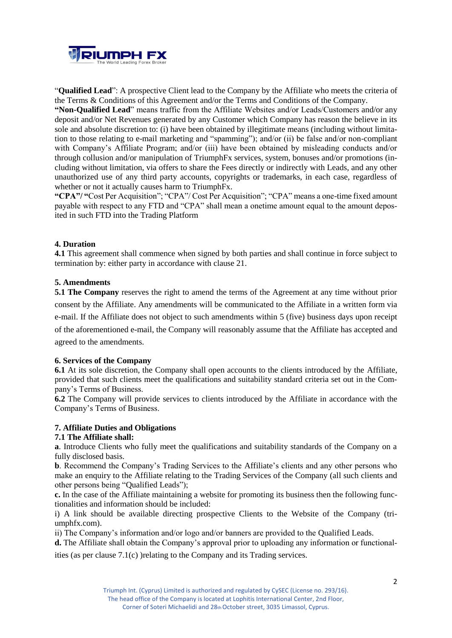

"**Qualified Lead**": A prospective Client lead to the Company by the Affiliate who meets the criteria of the Terms & Conditions of this Agreement and/or the Terms and Conditions of the Company.

**"Non-Qualified Lead**" means traffic from the Affiliate Websites and/or Leads/Customers and/or any deposit and/or Net Revenues generated by any Customer which Company has reason the believe in its sole and absolute discretion to: (i) have been obtained by illegitimate means (including without limitation to those relating to e-mail marketing and "spamming"); and/or (ii) be false and/or non-compliant with Company's Affiliate Program; and/or (iii) have been obtained by misleading conducts and/or through collusion and/or manipulation of TriumphFx services, system, bonuses and/or promotions (including without limitation, via offers to share the Fees directly or indirectly with Leads, and any other unauthorized use of any third party accounts, copyrights or trademarks, in each case, regardless of whether or not it actually causes harm to TriumphFx.

**"CPA"/ "**Cost Per Acquisition"; "CPA"/ Cost Per Acquisition"; "CPA" means a one-time fixed amount payable with respect to any FTD and "CPA" shall mean a onetime amount equal to the amount deposited in such FTD into the Trading Platform

### **4. Duration**

**4.1** This agreement shall commence when signed by both parties and shall continue in force subject to termination by: either party in accordance with clause 21.

## **5. Amendments**

**5.1 The Company** reserves the right to amend the terms of the Agreement at any time without prior consent by the Affiliate. Any amendments will be communicated to the Affiliate in a written form via e-mail. If the Affiliate does not object to such amendments within 5 (five) business days upon receipt of the aforementioned e-mail, the Company will reasonably assume that the Affiliate has accepted and agreed to the amendments.

### **6. Services of the Company**

**6.1** At its sole discretion, the Company shall open accounts to the clients introduced by the Affiliate, provided that such clients meet the qualifications and suitability standard criteria set out in the Company's Terms of Business.

**6.2** The Company will provide services to clients introduced by the Affiliate in accordance with the Company's Terms of Business.

### **7. Affiliate Duties and Obligations**

### **7.1 The Affiliate shall:**

**a**. Introduce Clients who fully meet the qualifications and suitability standards of the Company on a fully disclosed basis.

**b**. Recommend the Company's Trading Services to the Affiliate's clients and any other persons who make an enquiry to the Affiliate relating to the Trading Services of the Company (all such clients and other persons being "Qualified Leads");

**c.** In the case of the Affiliate maintaining a website for promoting its business then the following functionalities and information should be included:

i) A link should be available directing prospective Clients to the Website of the Company (triumphfx.com).

ii) The Company's information and/or logo and/or banners are provided to the Qualified Leads.

**d.** The Affiliate shall obtain the Company's approval prior to uploading any information or functionalities (as per clause 7.1(c) )relating to the Company and its Trading services.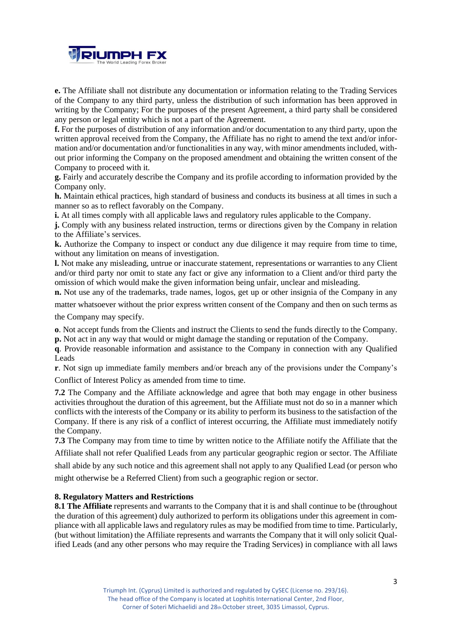

**e.** The Affiliate shall not distribute any documentation or information relating to the Trading Services of the Company to any third party, unless the distribution of such information has been approved in writing by the Company; For the purposes of the present Agreement, a third party shall be considered any person or legal entity which is not a part of the Agreement.

**f.** For the purposes of distribution of any information and/or documentation to any third party, upon the written approval received from the Company, the Affiliate has no right to amend the text and/or information and/or documentation and/or functionalities in any way, with minor amendments included, without prior informing the Company on the proposed amendment and obtaining the written consent of the Company to proceed with it.

**g.** Fairly and accurately describe the Company and its profile according to information provided by the Company only.

**h.** Maintain ethical practices, high standard of business and conducts its business at all times in such a manner so as to reflect favorably on the Company.

**i.** At all times comply with all applicable laws and regulatory rules applicable to the Company*.* 

**j.** Comply with any business related instruction, terms or directions given by the Company in relation to the Affiliate's services.

**k.** Authorize the Company to inspect or conduct any due diligence it may require from time to time, without any limitation on means of investigation.

**l.** Not make any misleading, untrue or inaccurate statement, representations or warranties to any Client and/or third party nor omit to state any fact or give any information to a Client and/or third party the omission of which would make the given information being unfair, unclear and misleading.

**n.** Not use any of the trademarks, trade names, logos, get up or other insignia of the Company in any

matter whatsoever without the prior express written consent of the Company and then on such terms as the Company may specify.

**o**. Not accept funds from the Clients and instruct the Clients to send the funds directly to the Company. **p.** Not act in any way that would or might damage the standing or reputation of the Company.

**q**. Provide reasonable information and assistance to the Company in connection with any Qualified Leads

**r**. Not sign up immediate family members and/or breach any of the provisions under the Company's Conflict of Interest Policy as amended from time to time.

**7.2** The Company and the Affiliate acknowledge and agree that both may engage in other business activities throughout the duration of this agreement, but the Affiliate must not do so in a manner which conflicts with the interests of the Company or its ability to perform its business to the satisfaction of the Company. If there is any risk of a conflict of interest occurring, the Affiliate must immediately notify the Company.

**7.3** The Company may from time to time by written notice to the Affiliate notify the Affiliate that the Affiliate shall not refer Qualified Leads from any particular geographic region or sector. The Affiliate shall abide by any such notice and this agreement shall not apply to any Qualified Lead (or person who might otherwise be a Referred Client) from such a geographic region or sector.

### **8. Regulatory Matters and Restrictions**

**8.1 The Affiliate** represents and warrants to the Company that it is and shall continue to be (throughout the duration of this agreement) duly authorized to perform its obligations under this agreement in compliance with all applicable laws and regulatory rules as may be modified from time to time. Particularly, (but without limitation) the Affiliate represents and warrants the Company that it will only solicit Qualified Leads (and any other persons who may require the Trading Services) in compliance with all laws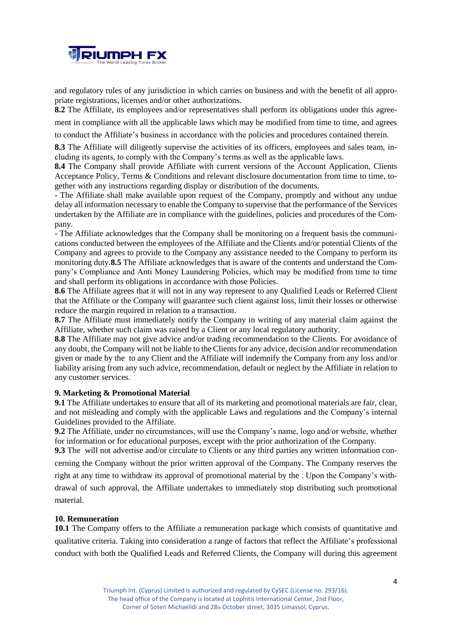

and regulatory rules of any jurisdiction in which carries on business and with the benefit of all appropriate registrations, licenses and/or other authorizations.

**8.2** The Affiliate, its employees and/or representatives shall perform its obligations under this agree-

ment in compliance with all the applicable laws which may be modified from time to time, and agrees

to conduct the Affiliate's business in accordance with the policies and procedures contained therein.

8.3 The Affiliate will diligently supervise the activities of its officers, employees and sales team, including its agents, to comply with the Company's terms as well as the applicable laws.

**8.4** The Company shall provide Affiliate with current versions of the Account Application, Clients Acceptance Policy, Terms & Conditions and relevant disclosure documentation from time to time, together with any instructions regarding display or distribution of the documents.

- The Affiliate shall make available upon request of the Company, promptly and without any undue delay all information necessary to enable the Company to supervise that the performance of the Services undertaken by the Affiliate are in compliance with the guidelines, policies and procedures of the Company.

- The Affiliate acknowledges that the Company shall be monitoring on a frequent basis the communications conducted between the employees of the Affiliate and the Clients and/or potential Clients of the Company and agrees to provide to the Company any assistance needed to the Company to perform its monitoring duty.**8.5** The Affiliate acknowledges that is aware of the contents and understand the Company's Compliance and Anti Money Laundering Policies, which may be modified from time to time and shall perform its obligations in accordance with those Policies.

**8.6** The Affiliate agrees that it will not in any way represent to any Qualified Leads or Referred Client that the Affiliate or the Company will guarantee such client against loss, limit their losses or otherwise reduce the margin required in relation to a transaction.

**8.7** The Affiliate must immediately notify the Company in writing of any material claim against the Affiliate, whether such claim was raised by a Client or any local regulatory authority.

**8.8** The Affiliate may not give advice and/or trading recommendation to the Clients. For avoidance of any doubt, the Company will not be liable to the Clients for any advice, decision and/or recommendation given or made by the to any Client and the Affiliate will indemnify the Company from any loss and/or liability arising from any such advice, recommendation, default or neglect by the Affiliate in relation to any customer services.

## **9. Marketing & Promotional Material**

**9.1** The Affiliate undertakes to ensure that all of its marketing and promotional materials are fair, clear, and not misleading and comply with the applicable Laws and regulations and the Company's internal Guidelines provided to the Affiliate.

**9.2** The Affiliate, under no circumstances, will use the Company's name, logo and/or website, whether for information or for educational purposes, except with the prior authorization of the Company.

**9.3** The will not advertise and/or circulate to Clients or any third parties any written information concerning the Company without the prior written approval of the Company. The Company reserves the right at any time to withdraw its approval of promotional material by the . Upon the Company's withdrawal of such approval, the Affiliate undertakes to immediately stop distributing such promotional material.

### **10. Remuneration**

**10.1** The Company offers to the Affiliate a remuneration package which consists of quantitative and qualitative criteria. Taking into consideration a range of factors that reflect the Affiliate's professional conduct with both the Qualified Leads and Referred Clients, the Company will during this agreement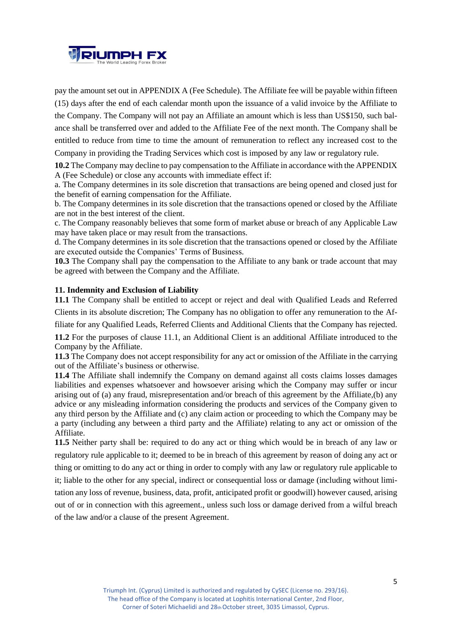

pay the amount set out in APPENDIX A (Fee Schedule). The Affiliate fee will be payable within fifteen (15) days after the end of each calendar month upon the issuance of a valid invoice by the Affiliate to the Company. The Company will not pay an Affiliate an amount which is less than US\$150, such balance shall be transferred over and added to the Affiliate Fee of the next month. The Company shall be entitled to reduce from time to time the amount of remuneration to reflect any increased cost to the Company in providing the Trading Services which cost is imposed by any law or regulatory rule.

**10.2** The Company may decline to pay compensation to the Affiliate in accordance with the APPENDIX A (Fee Schedule) or close any accounts with immediate effect if:

a. The Company determines in its sole discretion that transactions are being opened and closed just for the benefit of earning compensation for the Affiliate.

b. The Company determines in its sole discretion that the transactions opened or closed by the Affiliate are not in the best interest of the client.

c. The Company reasonably believes that some form of market abuse or breach of any Applicable Law may have taken place or may result from the transactions.

d. The Company determines in its sole discretion that the transactions opened or closed by the Affiliate are executed outside the Companies' Terms of Business.

**10.3** The Company shall pay the compensation to the Affiliate to any bank or trade account that may be agreed with between the Company and the Affiliate.

#### **11. Indemnity and Exclusion of Liability**

**11.1** The Company shall be entitled to accept or reject and deal with Qualified Leads and Referred Clients in its absolute discretion; The Company has no obligation to offer any remuneration to the Af-

filiate for any Qualified Leads, Referred Clients and Additional Clients that the Company has rejected.

**11.2** For the purposes of clause 11.1, an Additional Client is an additional Affiliate introduced to the Company by the Affiliate.

**11.3** The Company does not accept responsibility for any act or omission of the Affiliate in the carrying out of the Affiliate's business or otherwise.

**11.4** The Affiliate shall indemnify the Company on demand against all costs claims losses damages liabilities and expenses whatsoever and howsoever arising which the Company may suffer or incur arising out of (a) any fraud, misrepresentation and/or breach of this agreement by the Affiliate,(b) any advice or any misleading information considering the products and services of the Company given to any third person by the Affiliate and (c) any claim action or proceeding to which the Company may be a party (including any between a third party and the Affiliate) relating to any act or omission of the Affiliate.

**11.5** Neither party shall be: required to do any act or thing which would be in breach of any law or regulatory rule applicable to it; deemed to be in breach of this agreement by reason of doing any act or thing or omitting to do any act or thing in order to comply with any law or regulatory rule applicable to it; liable to the other for any special, indirect or consequential loss or damage (including without limitation any loss of revenue, business, data, profit, anticipated profit or goodwill) however caused, arising out of or in connection with this agreement., unless such loss or damage derived from a wilful breach

of the law and/or a clause of the present Agreement.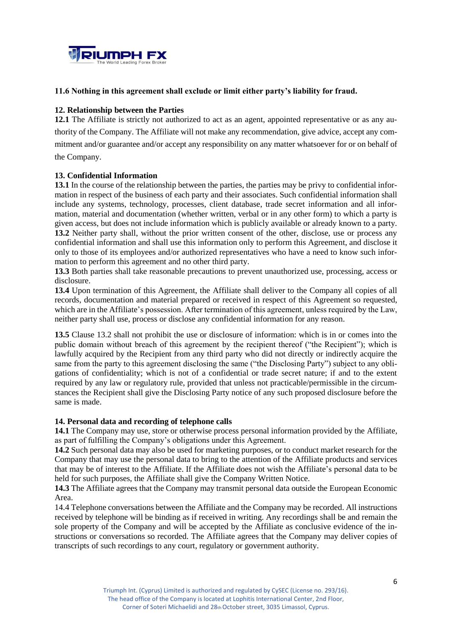

## **11.6 Nothing in this agreement shall exclude or limit either party's liability for fraud.**

## **12. Relationship between the Parties**

**12.1** The Affiliate is strictly not authorized to act as an agent, appointed representative or as any authority of the Company. The Affiliate will not make any recommendation, give advice, accept any commitment and/or guarantee and/or accept any responsibility on any matter whatsoever for or on behalf of the Company.

## **13. Confidential Information**

**13.1** In the course of the relationship between the parties, the parties may be privy to confidential information in respect of the business of each party and their associates. Such confidential information shall include any systems, technology, processes, client database, trade secret information and all information, material and documentation (whether written, verbal or in any other form) to which a party is given access, but does not include information which is publicly available or already known to a party. **13.2** Neither party shall, without the prior written consent of the other, disclose, use or process any confidential information and shall use this information only to perform this Agreement, and disclose it only to those of its employees and/or authorized representatives who have a need to know such information to perform this agreement and no other third party.

**13.3** Both parties shall take reasonable precautions to prevent unauthorized use, processing, access or disclosure.

**13.4** Upon termination of this Agreement, the Affiliate shall deliver to the Company all copies of all records, documentation and material prepared or received in respect of this Agreement so requested, which are in the Affiliate's possession. After termination of this agreement, unless required by the Law, neither party shall use, process or disclose any confidential information for any reason.

**13.5** Clause 13.2 shall not prohibit the use or disclosure of information: which is in or comes into the public domain without breach of this agreement by the recipient thereof ("the Recipient"); which is lawfully acquired by the Recipient from any third party who did not directly or indirectly acquire the same from the party to this agreement disclosing the same ("the Disclosing Party") subject to any obligations of confidentiality; which is not of a confidential or trade secret nature; if and to the extent required by any law or regulatory rule, provided that unless not practicable/permissible in the circumstances the Recipient shall give the Disclosing Party notice of any such proposed disclosure before the same is made.

### **14. Personal data and recording of telephone calls**

**14.1** The Company may use, store or otherwise process personal information provided by the Affiliate, as part of fulfilling the Company's obligations under this Agreement.

**14.2** Such personal data may also be used for marketing purposes, or to conduct market research for the Company that may use the personal data to bring to the attention of the Affiliate products and services that may be of interest to the Affiliate. If the Affiliate does not wish the Affiliate's personal data to be held for such purposes, the Affiliate shall give the Company Written Notice.

**14.3** The Affiliate agrees that the Company may transmit personal data outside the European Economic Area.

14.4 Telephone conversations between the Affiliate and the Company may be recorded. All instructions received by telephone will be binding as if received in writing. Any recordings shall be and remain the sole property of the Company and will be accepted by the Affiliate as conclusive evidence of the instructions or conversations so recorded. The Affiliate agrees that the Company may deliver copies of transcripts of such recordings to any court, regulatory or government authority.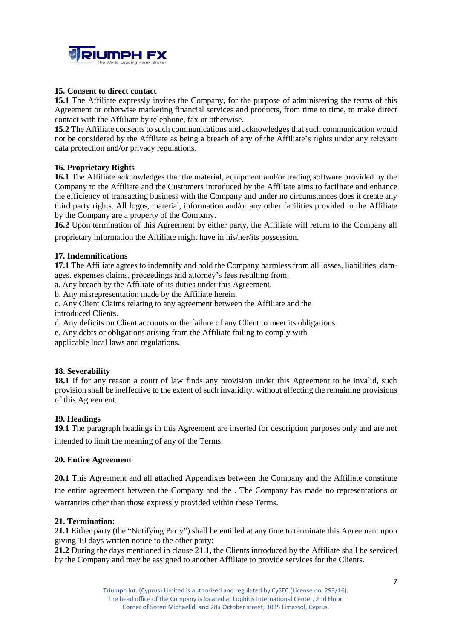

## **15. Consent to direct contact**

**15.1** The Affiliate expressly invites the Company, for the purpose of administering the terms of this Agreement or otherwise marketing financial services and products, from time to time, to make direct contact with the Affiliate by telephone, fax or otherwise.

**15.2** The Affiliate consents to such communications and acknowledges that such communication would not be considered by the Affiliate as being a breach of any of the Affiliate's rights under any relevant data protection and/or privacy regulations.

## **16. Proprietary Rights**

**16.1** The Affiliate acknowledges that the material, equipment and/or trading software provided by the Company to the Affiliate and the Customers introduced by the Affiliate aims to facilitate and enhance the efficiency of transacting business with the Company and under no circumstances does it create any third party rights. All logos, material, information and/or any other facilities provided to the Affiliate by the Company are a property of the Company.

**16.2** Upon termination of this Agreement by either party, the Affiliate will return to the Company all proprietary information the Affiliate might have in his/her/its possession.

## **17. Indemnifications**

**17.1** The Affiliate agrees to indemnify and hold the Company harmless from all losses, liabilities, damages, expenses claims, proceedings and attorney's fees resulting from:

a. Any breach by the Affiliate of its duties under this Agreement.

b. Any misrepresentation made by the Affiliate herein.

c. Any Client Claims relating to any agreement between the Affiliate and the introduced Clients.

d. Any deficits on Client accounts or the failure of any Client to meet its obligations.

e. Any debts or obligations arising from the Affiliate failing to comply with

applicable local laws and regulations.

## **18. Severability**

**18.1** If for any reason a court of law finds any provision under this Agreement to be invalid, such provision shall be ineffective to the extent of such invalidity, without affecting the remaining provisions of this Agreement.

### **19. Headings**

**19.1** The paragraph headings in this Agreement are inserted for description purposes only and are not intended to limit the meaning of any of the Terms.

### **20. Entire Agreement**

**20.1** This Agreement and all attached Appendixes between the Company and the Affiliate constitute the entire agreement between the Company and the . The Company has made no representations or warranties other than those expressly provided within these Terms.

### **21. Termination:**

**21.1** Either party (the "Notifying Party") shall be entitled at any time to terminate this Agreement upon giving 10 days written notice to the other party:

**21.2** During the days mentioned in clause 21.1, the Clients introduced by the Affiliate shall be serviced by the Company and may be assigned to another Affiliate to provide services for the Clients.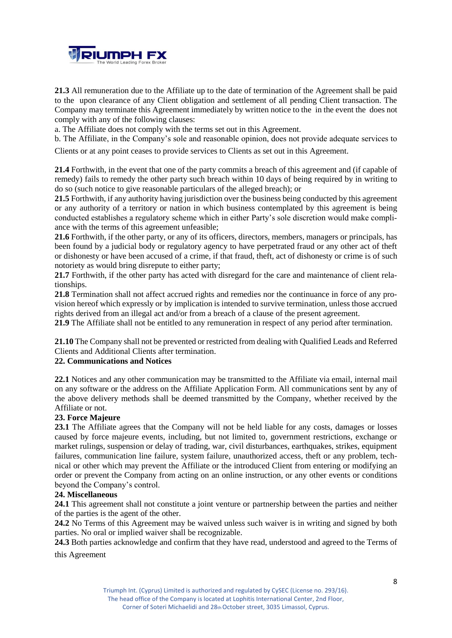

**21.3** All remuneration due to the Affiliate up to the date of termination of the Agreement shall be paid to the upon clearance of any Client obligation and settlement of all pending Client transaction. The Company may terminate this Agreement immediately by written notice to the in the event the does not comply with any of the following clauses:

a. The Affiliate does not comply with the terms set out in this Agreement.

b. The Affiliate, in the Company's sole and reasonable opinion, does not provide adequate services to

Clients or at any point ceases to provide services to Clients as set out in this Agreement.

**21.4** Forthwith, in the event that one of the party commits a breach of this agreement and (if capable of remedy) fails to remedy the other party such breach within 10 days of being required by in writing to do so (such notice to give reasonable particulars of the alleged breach); or

**21.5** Forthwith, if any authority having jurisdiction over the business being conducted by this agreement or any authority of a territory or nation in which business contemplated by this agreement is being conducted establishes a regulatory scheme which in either Party's sole discretion would make compliance with the terms of this agreement unfeasible;

**21.6** Forthwith, if the other party, or any of its officers, directors, members, managers or principals, has been found by a judicial body or regulatory agency to have perpetrated fraud or any other act of theft or dishonesty or have been accused of a crime, if that fraud, theft, act of dishonesty or crime is of such notoriety as would bring disrepute to either party;

**21.7** Forthwith, if the other party has acted with disregard for the care and maintenance of client relationships.

**21.8** Termination shall not affect accrued rights and remedies nor the continuance in force of any provision hereof which expressly or by implication is intended to survive termination, unless those accrued rights derived from an illegal act and/or from a breach of a clause of the present agreement.

**21.9** The Affiliate shall not be entitled to any remuneration in respect of any period after termination.

**21.10** The Company shall not be prevented or restricted from dealing with Qualified Leads and Referred Clients and Additional Clients after termination.

## **22. Communications and Notices**

**22.1** Notices and any other communication may be transmitted to the Affiliate via email, internal mail on any software or the address on the Affiliate Application Form. All communications sent by any of the above delivery methods shall be deemed transmitted by the Company, whether received by the Affiliate or not.

### **23. Force Majeure**

**23.1** The Affiliate agrees that the Company will not be held liable for any costs, damages or losses caused by force majeure events, including, but not limited to, government restrictions, exchange or market rulings, suspension or delay of trading, war, civil disturbances, earthquakes, strikes, equipment failures, communication line failure, system failure, unauthorized access, theft or any problem, technical or other which may prevent the Affiliate or the introduced Client from entering or modifying an order or prevent the Company from acting on an online instruction, or any other events or conditions beyond the Company's control.

### **24. Miscellaneous**

**24.1** This agreement shall not constitute a joint venture or partnership between the parties and neither of the parties is the agent of the other.

**24.2** No Terms of this Agreement may be waived unless such waiver is in writing and signed by both parties. No oral or implied waiver shall be recognizable.

**24.3** Both parties acknowledge and confirm that they have read, understood and agreed to the Terms of this Agreement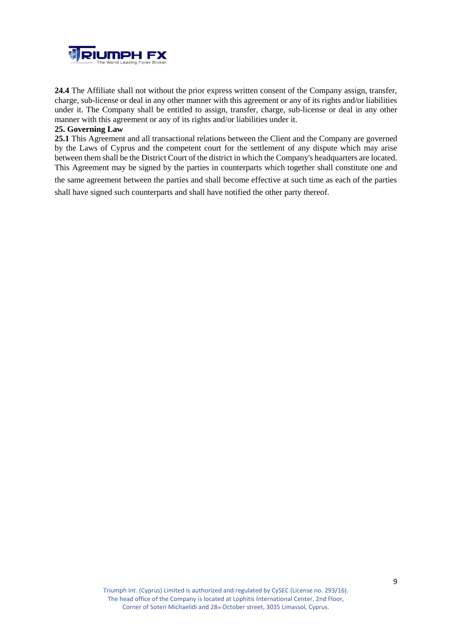

**24.4** The Affiliate shall not without the prior express written consent of the Company assign, transfer, charge, sub-license or deal in any other manner with this agreement or any of its rights and/or liabilities under it. The Company shall be entitled to assign, transfer, charge, sub-license or deal in any other manner with this agreement or any of its rights and/or liabilities under it.

## **25. Governing Law**

**25.1** This Agreement and all transactional relations between the Client and the Company are governed by the Laws of Cyprus and the competent court for the settlement of any dispute which may arise between them shall be the District Court of the district in which the Company's headquarters are located. This Agreement may be signed by the parties in counterparts which together shall constitute one and the same agreement between the parties and shall become effective at such time as each of the parties

shall have signed such counterparts and shall have notified the other party thereof.